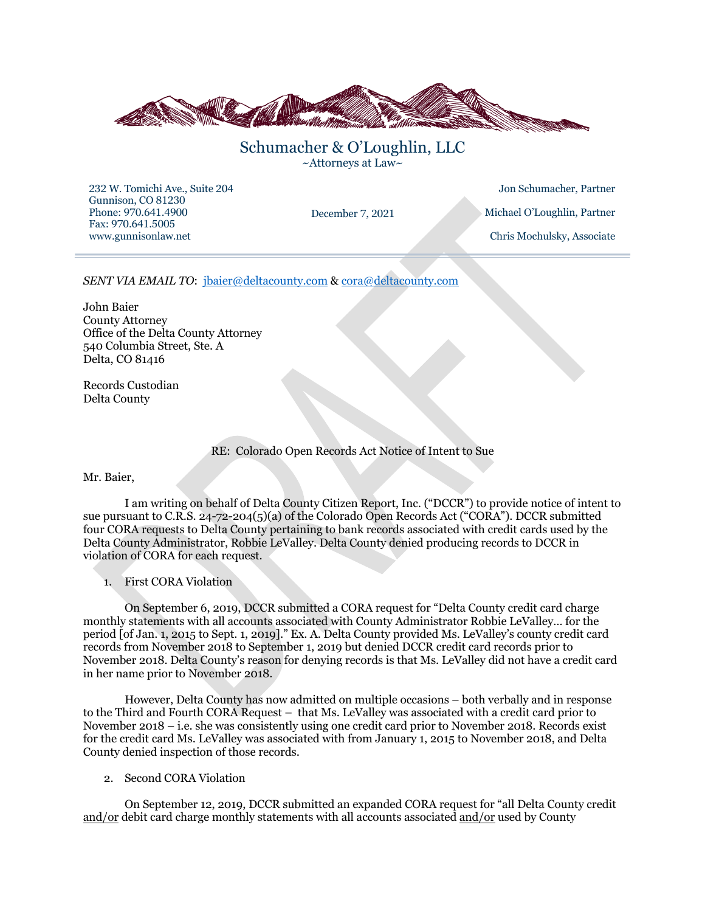

Schumacher & O'Loughlin, LLC ~Attorneys at Law~

232 W. Tomichi Ave., Suite 204 Gunnison, CO 81230 Phone: 970.641.4900 Fax: 970.641.5005 www.gunnisonlaw.net

Jon Schumacher, Partner December 7, 2021 Michael O'Loughlin, Partner Chris Mochulsky, Associate

*SENT VIA EMAIL TO*: jbaier@deltacounty.com & cora@deltacounty.com

John Baier County Attorney Office of the Delta County Attorney 540 Columbia Street, Ste. A Delta, CO 81416

Records Custodian Delta County

RE: Colorado Open Records Act Notice of Intent to Sue

Mr. Baier,

I am writing on behalf of Delta County Citizen Report, Inc. ("DCCR") to provide notice of intent to sue pursuant to C.R.S. 24-72-204(5)(a) of the Colorado Open Records Act ("CORA"). DCCR submitted four CORA requests to Delta County pertaining to bank records associated with credit cards used by the Delta County Administrator, Robbie LeValley. Delta County denied producing records to DCCR in violation of CORA for each request.

1. First CORA Violation

On September 6, 2019, DCCR submitted a CORA request for "Delta County credit card charge monthly statements with all accounts associated with County Administrator Robbie LeValley… for the period [of Jan. 1, 2015 to Sept. 1, 2019]." Ex. A. Delta County provided Ms. LeValley's county credit card records from November 2018 to September 1, 2019 but denied DCCR credit card records prior to November 2018. Delta County's reason for denying records is that Ms. LeValley did not have a credit card in her name prior to November 2018.

However, Delta County has now admitted on multiple occasions – both verbally and in response to the Third and Fourth CORA Request – that Ms. LeValley was associated with a credit card prior to November 2018 – i.e. she was consistently using one credit card prior to November 2018. Records exist for the credit card Ms. LeValley was associated with from January 1, 2015 to November 2018, and Delta County denied inspection of those records.

2. Second CORA Violation

On September 12, 2019, DCCR submitted an expanded CORA request for "all Delta County credit and/or debit card charge monthly statements with all accounts associated and/or used by County